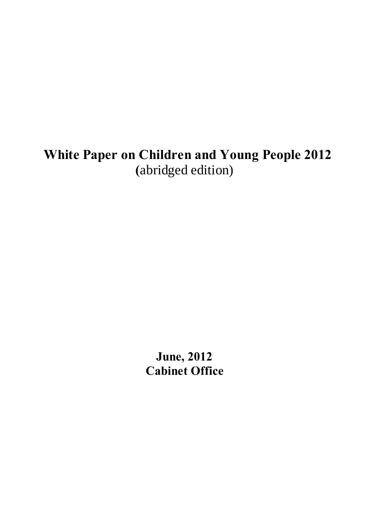# **White Paper on Children and Young People 2012 (**abridged edition)

**June, 2012 Cabinet Office**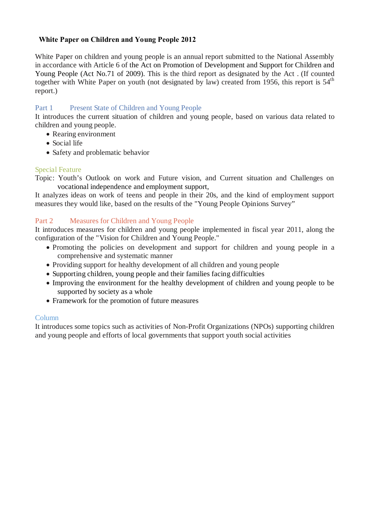# **White Paper on Children and Young People 2012**

White Paper on children and young people is an annual report submitted to the National Assembly in accordance with Article 6 of the Act on Promotion of Development and Support for Children and Young People (Act No.71 of 2009). This is the third report as designated by the Act . (If counted together with White Paper on youth (not designated by law) created from 1956, this report is  $54<sup>th</sup>$ report.)

### Part 1 Present State of Children and Young People

It introduces the current situation of children and young people, based on various data related to children and young people.

- Rearing environment
- Social life
- Safety and problematic behavior

### Special Feature

Topic: Youth's Outlook on work and Future vision, and Current situation and Challenges on vocational independence and employment support,

It analyzes ideas on work of teens and people in their 20s, and the kind of employment support measures they would like, based on the results of the "Young People Opinions Survey"

# Part 2 Measures for Children and Young People

It introduces measures for children and young people implemented in fiscal year 2011, along the configuration of the "Vision for Children and Young People."

- Promoting the policies on development and support for children and young people in a comprehensive and systematic manner
- Providing support for healthy development of all children and young people
- Supporting children, young people and their families facing difficulties
- Improving the environment for the healthy development of children and young people to be supported by society as a whole
- Framework for the promotion of future measures

#### Column

It introduces some topics such as activities of Non-Profit Organizations (NPOs) supporting children and young people and efforts of local governments that support youth social activities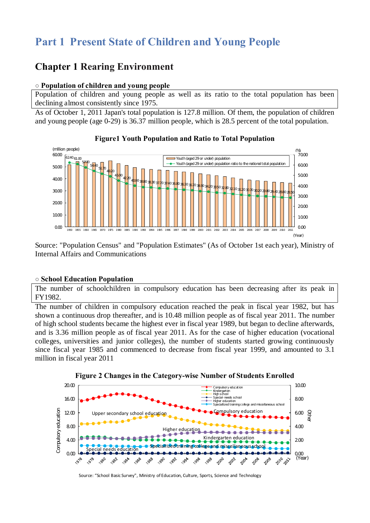# **Part 1 Present State of Children and Young People**

# **Chapter 1 Rearing Environment**

#### **○ Population of children and young people**

Population of children and young people as well as its ratio to the total population has been declining almost consistently since 1975.

As of October 1, 2011 Japan's total population is 127.8 million. Of them, the population of children and young people (age 0-29) is 36.37 million people, which is 28.5 percent of the total population.



#### **Figure1 Youth Population and Ratio to Total Population**

Source: "Population Census" and "Population Estimates" (As of October 1st each year), Ministry of Internal Affairs and Communications

#### **○ School Education Population**

The number of schoolchildren in compulsory education has been decreasing after its peak in FY1982.

The number of children in compulsory education reached the peak in fiscal year 1982, but has shown a continuous drop thereafter, and is 10.48 million people as of fiscal year 2011. The number of high school students became the highest ever in fiscal year 1989, but began to decline afterwards, and is 3.36 million people as of fiscal year 2011. As for the case of higher education (vocational colleges, universities and junior colleges), the number of students started growing continuously since fiscal year 1985 and commenced to decrease from fiscal year 1999, and amounted to 3.1 million in fiscal year 2011



**Figure 2 Changes in the Category-wise Number of Students Enrolled** 

Source: "School Basic Survey", Ministry of Education, Culture, Sports, Science and Technology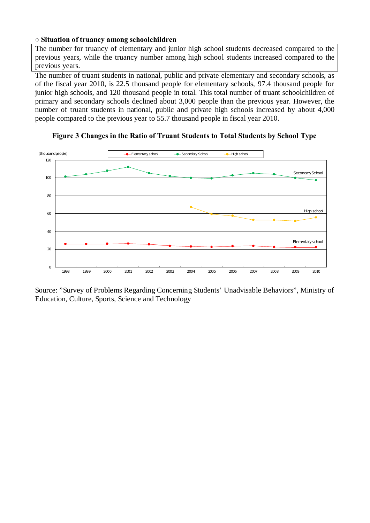#### **○ Situation of truancy among schoolchildren**

The number for truancy of elementary and junior high school students decreased compared to the previous years, while the truancy number among high school students increased compared to the previous years.

The number of truant students in national, public and private elementary and secondary schools, as of the fiscal year 2010, is 22.5 thousand people for elementary schools, 97.4 thousand people for junior high schools, and 120 thousand people in total. This total number of truant schoolchildren of primary and secondary schools declined about 3,000 people than the previous year. However, the number of truant students in national, public and private high schools increased by about 4,000 people compared to the previous year to 55.7 thousand people in fiscal year 2010.



**Figure 3 Changes in the Ratio of Truant Students to Total Students by School Type** 

Source: "Survey of Problems Regarding Concerning Students' Unadvisable Behaviors", Ministry of Education, Culture, Sports, Science and Technology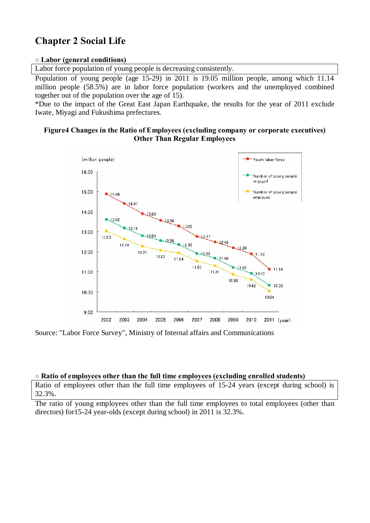# **Chapter 2 Social Life**

### **○ Labor (general conditions)**

Labor force population of young people is decreasing consistently.

Population of young people (age 15-29) in 2011 is 19.05 million people, among which 11.14 million people (58.5%) are in labor force population (workers and the unemployed combined together out of the population over the age of 15).

\*Due to the impact of the Great East Japan Earthquake, the results for the year of 2011 exclude Iwate, Miyagi and Fukushima prefectures.

#### **Figure4 Changes in the Ratio of Employees (excluding company or corporate executives) Other Than Regular Employees**



Source: "Labor Force Survey", Ministry of Internal affairs and Communications

#### **○ Ratio of employees other than the full time employees (excluding enrolled students)**

Ratio of employees other than the full time employees of 15-24 years (except during school) is 32.3%.

The ratio of young employees other than the full time employees to total employees (other than directors) for15-24 year-olds (except during school) in 2011 is 32.3%.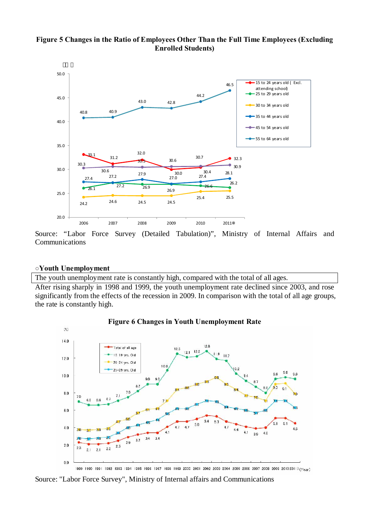



Source: "Labor Force Survey (Detailed Tabulation)", Ministry of Internal Affairs and Communications

#### **○Youth Unemployment**

The youth unemployment rate is constantly high, compared with the total of all ages.

After rising sharply in 1998 and 1999, the youth unemployment rate declined since 2003, and rose significantly from the effects of the recession in 2009. In comparison with the total of all age groups, the rate is constantly high.



**Figure 6 Changes in Youth Unemployment Rate** 

1989 1990 1991 1992 1993 1994 1995 1996 1997 1998 1999 2000 2001 2002 2003 2004 2005 2006 2007 2008 2009 201020113 (Year) Source: "Labor Force Survey", Ministry of Internal affairs and Communications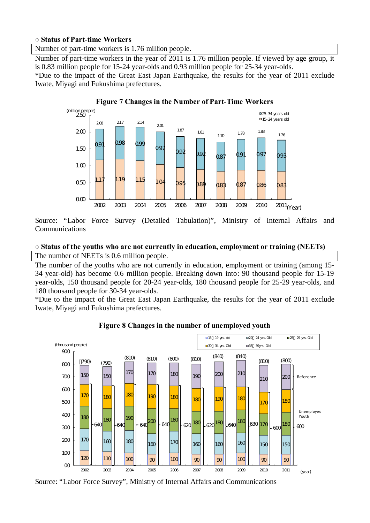#### **○ Status of Part-time Workers**

Number of part-time workers is 1.76 million people.

Number of part-time workers in the year of 2011 is 1.76 million people. If viewed by age group, it is 0.83 million people for 15-24 year-olds and 0.93 million people for 25-34 year-olds.

\*Due to the impact of the Great East Japan Earthquake, the results for the year of 2011 exclude Iwate, Miyagi and Fukushima prefectures.



**Figure 7 Changes in the Number of Part-Time Workers** 

Source: "Labor Force Survey (Detailed Tabulation)", Ministry of Internal Affairs and Communications

#### **○ Status of the youths who are not currently in education, employment or training (NEETs)**  The number of NEETs is 0.6 million people.

The number of the youths who are not currently in education, employment or training (among 15- 34 year-old) has become 0.6 million people. Breaking down into: 90 thousand people for 15-19 year-olds, 150 thousand people for 20-24 year-olds, 180 thousand people for 25-29 year-olds, and 180 thousand people for 30-34 year-olds.

\*Due to the impact of the Great East Japan Earthquake, the results for the year of 2011 exclude Iwate, Miyagi and Fukushima prefectures.



**Figure 8 Changes in the number of unemployed youth** 

Source: "Labor Force Survey", Ministry of Internal Affairs and Communications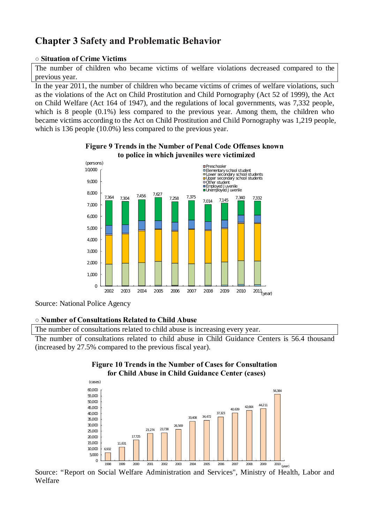# **Chapter 3 Safety and Problematic Behavior**

# **○ Situation of Crime Victims**

The number of children who became victims of welfare violations decreased compared to the previous year.

In the year 2011, the number of children who became victims of crimes of welfare violations, such as the violations of the Act on Child Prostitution and Child Pornography (Act 52 of 1999), the Act on Child Welfare (Act 164 of 1947), and the regulations of local governments, was 7,332 people, which is 8 people  $(0.1\%)$  less compared to the previous year. Among them, the children who became victims according to the Act on Child Prostitution and Child Pornography was 1,219 people, which is 136 people (10.0%) less compared to the previous year.



# **Figure 9 Trends in the Number of Penal Code Offenses known to police in which juveniles were victimized**

# **○ Number of Consultations Related to Child Abuse**

The number of consultations related to child abuse is increasing every year.

The number of consultations related to child abuse in Child Guidance Centers is 56.4 thousand (increased by 27.5% compared to the previous fiscal year).

# **Figure 10 Trends in the Number of Cases for Consultation for Child Abuse in Child Guidance Center (cases)**



Source: "Report on Social Welfare Administration and Services", Ministry of Health, Labor and Welfare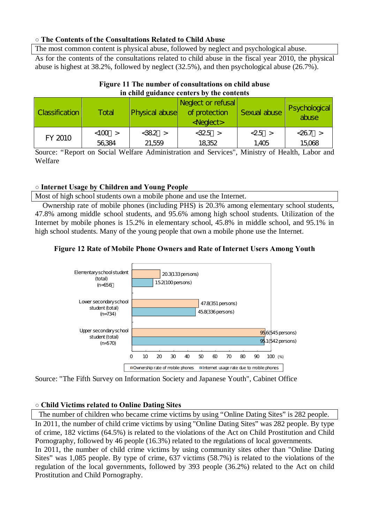# **○ The Contents of the Consultations Related to Child Abuse**

The most common content is physical abuse, followed by neglect and psychological abuse.

As for the contents of the consultations related to child abuse in the fiscal year 2010, the physical abuse is highest at 38.2%, followed by neglect (32.5%), and then psychological abuse (26.7%).

| in child guidance centers by the contents |                    |                       |                                                            |                  |                        |  |  |
|-------------------------------------------|--------------------|-----------------------|------------------------------------------------------------|------------------|------------------------|--|--|
| <b>Classification</b>                     | Total              | <b>Physical abuse</b> | Neglect or refusal<br>of protection<br><neglect></neglect> | Sexual abuse     | Psychological<br>abuse |  |  |
| <b>FY 2010</b>                            | $<100$ ><br>56,384 | $< 382$ ><br>21,559   | $< 325$ ><br>18,352                                        | $<25$ ><br>1,405 | $< 267$ ><br>15,068    |  |  |

# **Figure 11 The number of consultations on child abuse**

Source: "Report on Social Welfare Administration and Services", Ministry of Health, Labor and Welfare

#### **○ Internet Usage by Children and Young People**

Most of high school students own a mobile phone and use the Internet.

Ownership rate of mobile phones (including PHS) is 20.3% among elementary school students, 47.8% among middle school students, and 95.6% among high school students. Utilization of the Internet by mobile phones is 15.2% in elementary school, 45.8% in middle school, and 95.1% in high school students. Many of the young people that own a mobile phone use the Internet.

# **Figure 12 Rate of Mobile Phone Owners and Rate of Internet Users Among Youth**



Source: "The Fifth Survey on Information Society and Japanese Youth", Cabinet Office

#### **○ Child Victims related to Online Dating Sites**

 The number of children who became crime victims by using "Online Dating Sites" is 282 people. In 2011, the number of child crime victims by using "Online Dating Sites" was 282 people. By type of crime, 182 victims (64.5%) is related to the violations of the Act on Child Prostitution and Child Pornography, followed by 46 people (16.3%) related to the regulations of local governments. In 2011, the number of child crime victims by using community sites other than "Online Dating Sites" was 1,085 people. By type of crime, 637 victims (58.7%) is related to the violations of the regulation of the local governments, followed by 393 people (36.2%) related to the Act on child Prostitution and Child Pornography.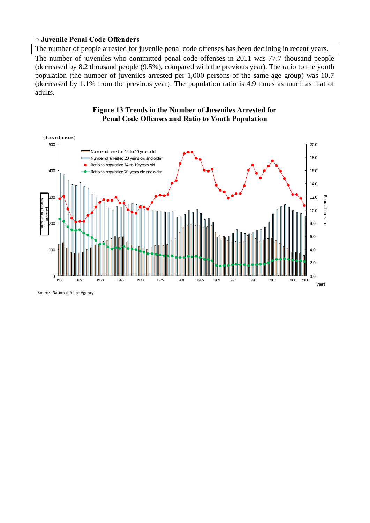### **○ Juvenile Penal Code Offenders**

The number of people arrested for juvenile penal code offenses has been declining in recent years.

The number of juveniles who committed penal code offenses in 2011 was 77.7 thousand people (decreased by 8.2 thousand people (9.5%), compared with the previous year). The ratio to the youth population (the number of juveniles arrested per 1,000 persons of the same age group) was 10.7 (decreased by 1.1% from the previous year). The population ratio is 4.9 times as much as that of adults.





Source: National Police Agency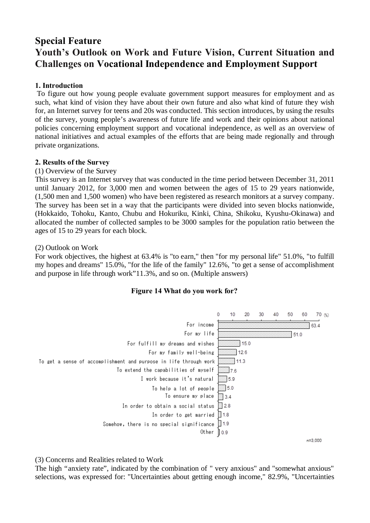# **Special Feature Youth's Outlook on Work and Future Vision, Current Situation and Challenges on Vocational Independence and Employment Support**

# **1. Introduction**

 To figure out how young people evaluate government support measures for employment and as such, what kind of vision they have about their own future and also what kind of future they wish for, an Internet survey for teens and 20s was conducted. This section introduces, by using the results of the survey, young people's awareness of future life and work and their opinions about national policies concerning employment support and vocational independence, as well as an overview of national initiatives and actual examples of the efforts that are being made regionally and through private organizations.

#### **2. Results of the Survey**

#### (1) Overview of the Survey

This survey is an Internet survey that was conducted in the time period between December 31, 2011 until January 2012, for 3,000 men and women between the ages of 15 to 29 years nationwide, (1,500 men and 1,500 women) who have been registered as research monitors at a survey company. The survey has been set in a way that the participants were divided into seven blocks nationwide, (Hokkaido, Tohoku, Kanto, Chubu and Hokuriku, Kinki, China, Shikoku, Kyushu-Okinawa) and allocated the number of collected samples to be 3000 samples for the population ratio between the ages of 15 to 29 years for each block.

#### (2) Outlook on Work

For work objectives, the highest at 63.4% is "to earn," then "for my personal life" 51.0%, "to fulfill my hopes and dreams" 15.0%, "for the life of the family" 12.6%, "to get a sense of accomplishment and purpose in life through work"11.3%, and so on. (Multiple answers)

#### **Figure 14 What do you work for?**



(3) Concerns and Realities related to Work

The high "anxiety rate", indicated by the combination of " very anxious" and "somewhat anxious" selections, was expressed for: "Uncertainties about getting enough income," 82.9%, "Uncertainties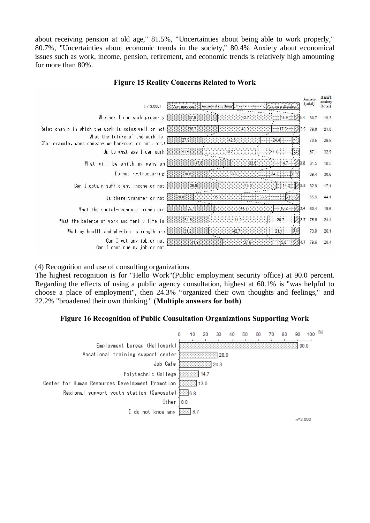about receiving pension at old age," 81.5%, "Uncertainties about being able to work properly," 80.7%, "Uncertainties about economic trends in the society," 80.4% Anxiety about economical issues such as work, income, pension, retirement, and economic trends is relatively high amounting for more than 80%.



# **Figure 15 Reality Concerns Related to Work**

(4) Recognition and use of consulting organizations

The highest recognition is for "Hello Work"(Public employment security office) at 90.0 percent. Regarding the effects of using a public agency consultation, highest at 60.1% is "was helpful to choose a place of employment", then 24.3% "organized their own thoughts and feelings," and 22.2% "broadened their own thinking." **(Multiple answers for both)** 

# **Figure 16 Recognition of Public Consultation Organizations Supporting Work**

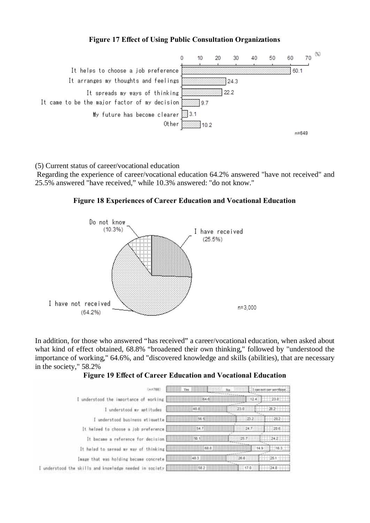# **Figure 17 Effect of Using Public Consultation Organizations**



(5) Current status of career/vocational education

 Regarding the experience of career/vocational education 64.2% answered "have not received" and 25.5% answered "have received," while 10.3% answered: "do not know."

**Figure 18 Experiences of Career Education and Vocational Education** 



In addition, for those who answered "has received" a career/vocational education, when asked about what kind of effect obtained, 68.8% "broadened their own thinking," followed by "understood the importance of working," 64.6%, and "discovered knowledge and skills (abilities), that are necessary in the society," 58.2%

| (n8788)                                               | No.<br>Tex. | I can not not anything                                 |
|-------------------------------------------------------|-------------|--------------------------------------------------------|
| I understood the importance of working                | 84.6        | <b>ANTINAL</b><br>23.0<br>12.4<br><b>CALL AND REAL</b> |
| understood my aptitudes                               | 48.8        | 23.0<br>25.2                                           |
| I understood business etiquette                       | 56.57       | $-202$<br>$23.2 -$                                     |
| It helped to choose a job preference                  | 54.7        | $-24.7$<br>$-20.6$                                     |
| It became a reference for decision                    | 50.1        | 1242<br>25.7                                           |
| It helpd to spread my way of thinking                 | 68.8        | 14.9<br>地工<br>一体体を体を上す。                                |
| Image that was holding became concrete                | 48.3        | $+251$<br>26.6                                         |
| understood the skills and knowledge needed in society | 58.2        | $+24.8$<br>17.0                                        |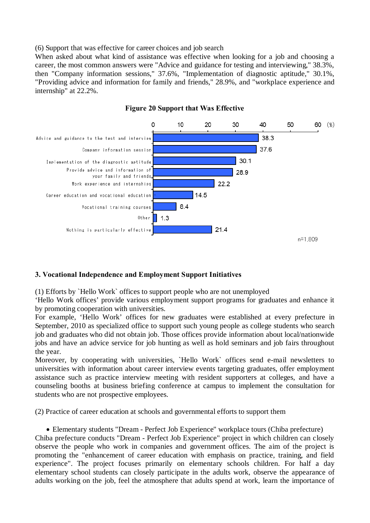(6) Support that was effective for career choices and job search

When asked about what kind of assistance was effective when looking for a job and choosing a career, the most common answers were "Advice and guidance for testing and interviewing," 38.3%, then "Company information sessions," 37.6%, "Implementation of diagnostic aptitude," 30.1%, "Providing advice and information for family and friends," 28.9%, and "workplace experience and internship" at 22.2%.



# **Figure 20 Support that Was Effective**

# **3. Vocational Independence and Employment Support Initiatives**

(1) Efforts by `Hello Work` offices to support people who are not unemployed

'Hello Work offices' provide various employment support programs for graduates and enhance it by promoting cooperation with universities.

For example, 'Hello Work' offices for new graduates were established at every prefecture in September, 2010 as specialized office to support such young people as college students who search job and graduates who did not obtain job. Those offices provide information about local/nationwide jobs and have an advice service for job hunting as well as hold seminars and job fairs throughout the year.

Moreover, by cooperating with universities, `Hello Work` offices send e-mail newsletters to universities with information about career interview events targeting graduates, offer employment assistance such as practice interview meeting with resident supporters at colleges, and have a counseling booths at business briefing conference at campus to implement the consultation for students who are not prospective employees.

(2) Practice of career education at schools and governmental efforts to support them

Elementary students "Dream - Perfect Job Experience" workplace tours (Chiba prefecture)

Chiba prefecture conducts "Dream - Perfect Job Experience" project in which children can closely observe the people who work in companies and government offices. The aim of the project is promoting the "enhancement of career education with emphasis on practice, training, and field experience". The project focuses primarily on elementary schools children. For half a day elementary school students can closely participate in the adults work, observe the appearance of adults working on the job, feel the atmosphere that adults spend at work, learn the importance of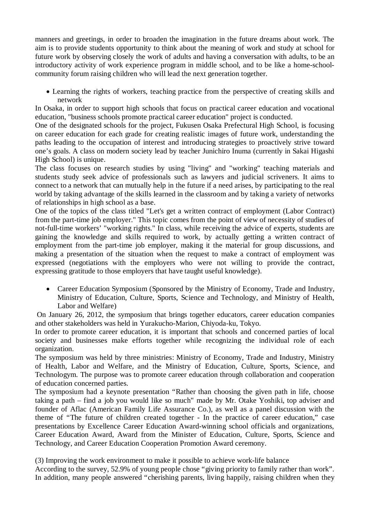manners and greetings, in order to broaden the imagination in the future dreams about work. The aim is to provide students opportunity to think about the meaning of work and study at school for future work by observing closely the work of adults and having a conversation with adults, to be an introductory activity of work experience program in middle school, and to be like a home-schoolcommunity forum raising children who will lead the next generation together.

 Learning the rights of workers, teaching practice from the perspective of creating skills and network

In Osaka, in order to support high schools that focus on practical career education and vocational education, "business schools promote practical career education" project is conducted.

One of the designated schools for the project, Fukusen Osaka Prefectural High School, is focusing on career education for each grade for creating realistic images of future work, understanding the paths leading to the occupation of interest and introducing strategies to proactively strive toward one's goals. A class on modern society lead by teacher Junichiro Inuma (currently in Sakai Higashi High School) is unique.

The class focuses on research studies by using "living" and "working" teaching materials and students study seek advice of professionals such as lawyers and judicial scriveners. It aims to connect to a network that can mutually help in the future if a need arises, by participating to the real world by taking advantage of the skills learned in the classroom and by taking a variety of networks of relationships in high school as a base.

One of the topics of the class titled "Let's get a written contract of employment (Labor Contract) from the part-time job employer." This topic comes from the point of view of necessity of studies of not-full-time workers' "working rights." In class, while receiving the advice of experts, students are gaining the knowledge and skills required to work, by actually getting a written contract of employment from the part-time job employer, making it the material for group discussions, and making a presentation of the situation when the request to make a contract of employment was expressed (negotiations with the employers who were not willing to provide the contract, expressing gratitude to those employers that have taught useful knowledge).

• Career Education Symposium (Sponsored by the Ministry of Economy, Trade and Industry, Ministry of Education, Culture, Sports, Science and Technology, and Ministry of Health, Labor and Welfare)

 On January 26, 2012, the symposium that brings together educators, career education companies and other stakeholders was held in Yurakucho-Marion, Chiyoda-ku, Tokyo.

In order to promote career education, it is important that schools and concerned parties of local society and businesses make efforts together while recognizing the individual role of each organization.

The symposium was held by three ministries: Ministry of Economy, Trade and Industry, Ministry of Health, Labor and Welfare, and the Ministry of Education, Culture, Sports, Science, and Technologym. The purpose was to promote career education through collaboration and cooperation of education concerned parties.

The symposium had a keynote presentation "Rather than choosing the given path in life, choose taking a path – find a job you would like so much" made by Mr. Otake Yoshiki, top adviser and founder of Aflac (American Family Life Assurance Co.), as well as a panel discussion with the theme of "The future of children created together - In the practice of career education," case presentations by Excellence Career Education Award-winning school officials and organizations, Career Education Award, Award from the Minister of Education, Culture, Sports, Science and Technology, and Career Education Cooperation Promotion Award ceremony.

(3) Improving the work environment to make it possible to achieve work-life balance

According to the survey, 52.9% of young people chose "giving priority to family rather than work". In addition, many people answered "cherishing parents, living happily, raising children when they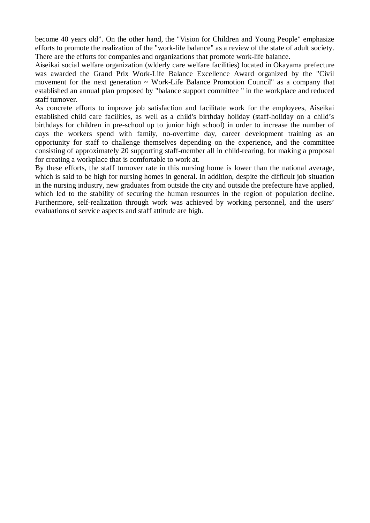become 40 years old". On the other hand, the "Vision for Children and Young People" emphasize efforts to promote the realization of the "work-life balance" as a review of the state of adult society. There are the efforts for companies and organizations that promote work-life balance.

Aiseikai social welfare organization (wlderly care welfare facilities) located in Okayama prefecture was awarded the Grand Prix Work-Life Balance Excellence Award organized by the "Civil movement for the next generation  $\sim$  Work-Life Balance Promotion Council" as a company that established an annual plan proposed by "balance support committee " in the workplace and reduced staff turnover.

As concrete efforts to improve job satisfaction and facilitate work for the employees, Aiseikai established child care facilities, as well as a child's birthday holiday (staff-holiday on a child's birthdays for children in pre-school up to junior high school) in order to increase the number of days the workers spend with family, no-overtime day, career development training as an opportunity for staff to challenge themselves depending on the experience, and the committee consisting of approximately 20 supporting staff-member all in child-rearing, for making a proposal for creating a workplace that is comfortable to work at.

By these efforts, the staff turnover rate in this nursing home is lower than the national average, which is said to be high for nursing homes in general. In addition, despite the difficult job situation in the nursing industry, new graduates from outside the city and outside the prefecture have applied, which led to the stability of securing the human resources in the region of population decline. Furthermore, self-realization through work was achieved by working personnel, and the users' evaluations of service aspects and staff attitude are high.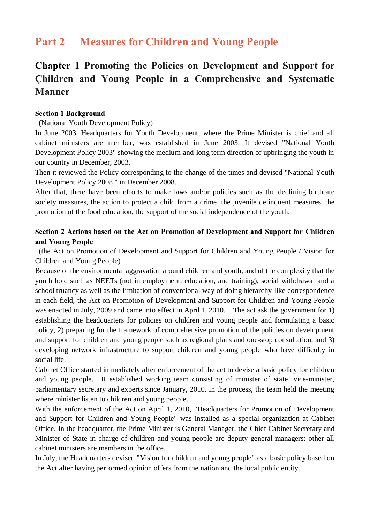# **Part 2 Measures for Children and Young People**

# **Chapter 1 Promoting the Policies on Development and Support for Çhildren and Young People in a Comprehensive and Systematic Manner**

#### **Section 1 Background**

### (National Youth Development Policy)

In June 2003, Headquarters for Youth Development, where the Prime Minister is chief and all cabinet ministers are member, was established in June 2003. It devised "National Youth Development Policy 2003" showing the medium-and-long term direction of upbringing the youth in our country in December, 2003.

Then it reviewed the Policy corresponding to the change of the times and devised "National Youth Development Policy 2008 " in December 2008.

After that, there have been efforts to make laws and/or policies such as the declining birthrate society measures, the action to protect a child from a crime, the juvenile delinquent measures, the promotion of the food education, the support of the social independence of the youth.

# **Section 2 Actions based on the Act on Promotion of Development and Support for Children and Young People**

 (the Act on Promotion of Development and Support for Children and Young People / Vision for Children and Young People)

Because of the environmental aggravation around children and youth, and of the complexity that the youth hold such as NEETs (not in employment, education, and training), social withdrawal and a school truancy as well as the limitation of conventional way of doing hierarchy-like correspondence in each field, the Act on Promotion of Development and Support for Children and Young People was enacted in July, 2009 and came into effect in April 1, 2010. The act ask the government for 1) establishing the headquarters for policies on children and young people and formulating a basic policy, 2) preparing for the framework of comprehensive promotion of the policies on development and support for children and young people such as regional plans and one-stop consultation, and 3) developing network infrastructure to support children and young people who have difficulty in social life.

Cabinet Office started immediately after enforcement of the act to devise a basic policy for children and young people. It established working team consisting of minister of state, vice-minister, parliamentary secretary and experts since January, 2010. In the process, the team held the meeting where minister listen to children and young people.

With the enforcement of the Act on April 1, 2010, "Headquarters for Promotion of Development and Support for Children and Young People" was installed as a special organization at Cabinet Office. In the headquarter, the Prime Minister is General Manager, the Chief Cabinet Secretary and Minister of State in charge of children and young people are deputy general managers: other all cabinet ministers are members in the office.

In July, the Headquarters devised "Vision for children and young people" as a basic policy based on the Act after having performed opinion offers from the nation and the local public entity.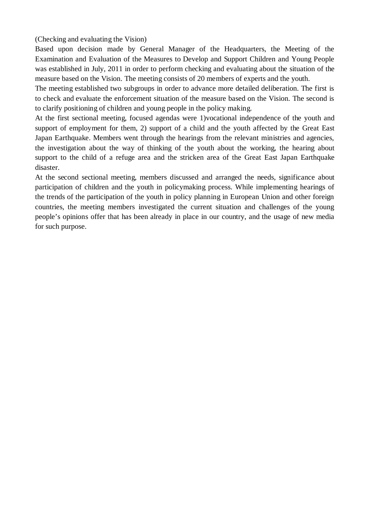(Checking and evaluating the Vision)

Based upon decision made by General Manager of the Headquarters, the Meeting of the Examination and Evaluation of the Measures to Develop and Support Children and Young People was established in July, 2011 in order to perform checking and evaluating about the situation of the measure based on the Vision. The meeting consists of 20 members of experts and the youth.

The meeting established two subgroups in order to advance more detailed deliberation. The first is to check and evaluate the enforcement situation of the measure based on the Vision. The second is to clarify positioning of children and young people in the policy making.

At the first sectional meeting, focused agendas were 1)vocational independence of the youth and support of employment for them, 2) support of a child and the youth affected by the Great East Japan Earthquake. Members went through the hearings from the relevant ministries and agencies, the investigation about the way of thinking of the youth about the working, the hearing about support to the child of a refuge area and the stricken area of the Great East Japan Earthquake disaster.

At the second sectional meeting, members discussed and arranged the needs, significance about participation of children and the youth in policymaking process. While implementing hearings of the trends of the participation of the youth in policy planning in European Union and other foreign countries, the meeting members investigated the current situation and challenges of the young people's opinions offer that has been already in place in our country, and the usage of new media for such purpose.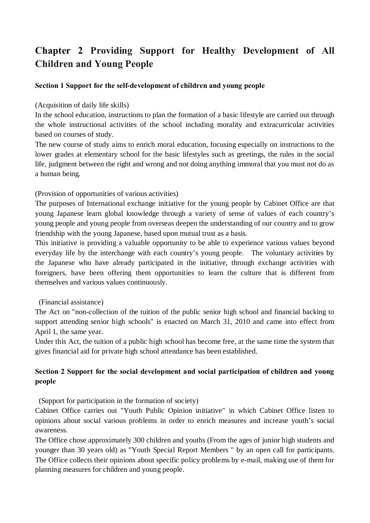# **Chapter 2 Providing Support for Healthy Development of All Children and Young People**

### **Section 1 Support for the self-development of children and young people**

#### (Acquisition of daily life skills)

In the school education, instructions to plan the formation of a basic lifestyle are carried out through the whole instructional activities of the school including morality and extracurricular activities based on courses of study.

The new course of study aims to enrich moral education, focusing especially on instructions to the lower grades at elementary school for the basic lifestyles such as greetings, the rules in the social life, judgment between the right and wrong and not doing anything immoral that you must not do as a human being.

### (Provision of opportunities of various activities)

The purposes of International exchange initiative for the young people by Cabinet Office are that young Japanese learn global knowledge through a variety of sense of values of each country's young people and young people from overseas deepen the understanding of our country and to grow friendship with the young Japanese, based upon mutual trust as a basis.

This initiative is providing a valuable opportunity to be able to experience various values beyond everyday life by the interchange with each country's young people. The voluntary activities by the Japanese who have already participated in the initiative, through exchange activities with foreigners, have been offering them opportunities to learn the culture that is different from themselves and various values continuously.

#### (Financial assistance)

The Act on "non-collection of the tuition of the public senior high school and financial backing to support attending senior high schools" is enacted on March 31, 2010 and came into effect from April 1, the same year.

Under this Act, the tuition of a public high school has become free, at the same time the system that gives financial aid for private high school attendance has been established.

# **Section 2 Support for the social development and social participation of children and young people**

(Support for participation in the formation of society)

Cabinet Office carries out "Youth Public Opinion initiative" in which Cabinet Office listen to opinions about social various problems in order to enrich measures and increase youth's social awareness.

The Office chose approximately 300 children and youths (From the ages of junior high students and younger than 30 years old) as "Youth Special Report Members " by an open call for participants. The Office collects their opinions about specific policy problems by e-mail, making use of them for planning measures for children and young people.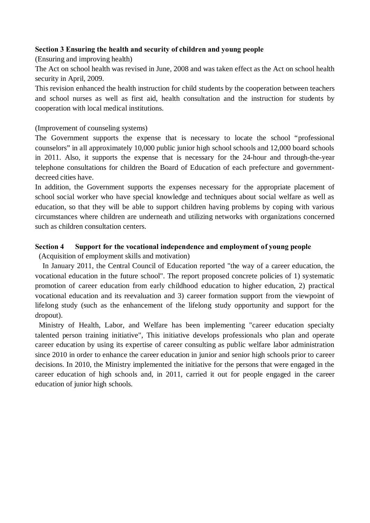### **Section 3 Ensuring the health and security of children and young people**

(Ensuring and improving health)

The Act on school health was revised in June, 2008 and was taken effect as the Act on school health security in April, 2009.

This revision enhanced the health instruction for child students by the cooperation between teachers and school nurses as well as first aid, health consultation and the instruction for students by cooperation with local medical institutions.

### (Improvement of counseling systems)

The Government supports the expense that is necessary to locate the school "professional counselors" in all approximately 10,000 public junior high school schools and 12,000 board schools in 2011. Also, it supports the expense that is necessary for the 24-hour and through-the-year telephone consultations for children the Board of Education of each prefecture and governmentdecreed cities have.

In addition, the Government supports the expenses necessary for the appropriate placement of school social worker who have special knowledge and techniques about social welfare as well as education, so that they will be able to support children having problems by coping with various circumstances where children are underneath and utilizing networks with organizations concerned such as children consultation centers.

# **Section 4 Support for the vocational independence and employment of young people**

(Acquisition of employment skills and motivation)

In January 2011, the Central Council of Education reported "the way of a career education, the vocational education in the future school". The report proposed concrete policies of 1) systematic promotion of career education from early childhood education to higher education, 2) practical vocational education and its reevaluation and 3) career formation support from the viewpoint of lifelong study (such as the enhancement of the lifelong study opportunity and support for the dropout).

Ministry of Health, Labor, and Welfare has been implementing "career education specialty talented person training initiative", This initiative develops professionals who plan and operate career education by using its expertise of career consulting as public welfare labor administration since 2010 in order to enhance the career education in junior and senior high schools prior to career decisions. In 2010, the Ministry implemented the initiative for the persons that were engaged in the career education of high schools and, in 2011, carried it out for people engaged in the career education of junior high schools.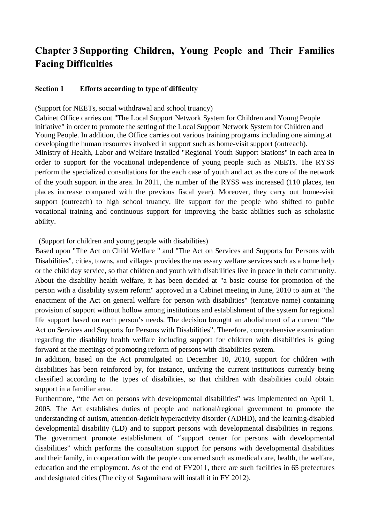# **Chapter 3 Supporting Children, Young People and Their Families Facing Difficulties**

#### **Section 1 Efforts according to type of difficulty**

(Support for NEETs, social withdrawal and school truancy)

Cabinet Office carries out "The Local Support Network System for Children and Young People initiative" in order to promote the setting of the Local Support Network System for Children and Young People. In addition, the Office carries out various training programs including one aiming at developing the human resources involved in support such as home-visit support (outreach). Ministry of Health, Labor and Welfare installed "Regional Youth Support Stations" in each area in order to support for the vocational independence of young people such as NEETs. The RYSS perform the specialized consultations for the each case of youth and act as the core of the network of the youth support in the area. In 2011, the number of the RYSS was increased (110 places, ten places increase compared with the previous fiscal year). Moreover, they carry out home-visit support (outreach) to high school truancy, life support for the people who shifted to public vocational training and continuous support for improving the basic abilities such as scholastic ability.

(Support for children and young people with disabilities)

Based upon "The Act on Child Welfare " and "The Act on Services and Supports for Persons with Disabilities", cities, towns, and villages provides the necessary welfare services such as a home help or the child day service, so that children and youth with disabilities live in peace in their community. About the disability health welfare, it has been decided at "a basic course for promotion of the person with a disability system reform" approved in a Cabinet meeting in June, 2010 to aim at "the enactment of the Act on general welfare for person with disabilities" (tentative name) containing provision of support without hollow among institutions and establishment of the system for regional life support based on each person's needs. The decision brought an abolishment of a current "the Act on Services and Supports for Persons with Disabilities". Therefore, comprehensive examination regarding the disability health welfare including support for children with disabilities is going forward at the meetings of promoting reform of persons with disabilities system.

In addition, based on the Act promulgated on December 10, 2010, support for children with disabilities has been reinforced by, for instance, unifying the current institutions currently being classified according to the types of disabilities, so that children with disabilities could obtain support in a familiar area.

Furthermore, "the Act on persons with developmental disabilities" was implemented on April 1, 2005. The Act establishes duties of people and national/regional government to promote the understanding of autism, attention-deficit hyperactivity disorder (ADHD), and the learning-disabled developmental disability (LD) and to support persons with developmental disabilities in regions. The government promote establishment of "support center for persons with developmental disabilities" which performs the consultation support for persons with developmental disabilities and their family, in cooperation with the people concerned such as medical care, health, the welfare, education and the employment. As of the end of FY2011, there are such facilities in 65 prefectures and designated cities (The city of Sagamihara will install it in FY 2012).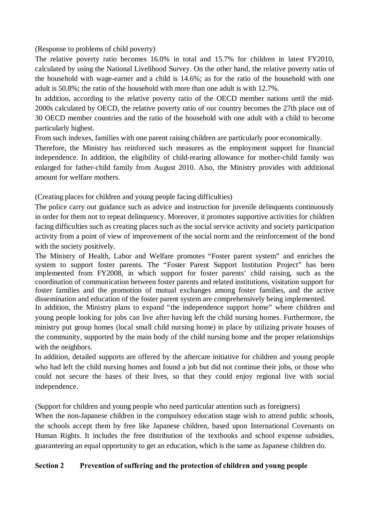(Response to problems of child poverty)

The relative poverty ratio becomes 16.0% in total and 15.7% for children in latest FY2010, calculated by using the National Livelihood Survey. On the other hand, the relative poverty ratio of the household with wage-earner and a child is 14.6%; as for the ratio of the household with one adult is 50.8%; the ratio of the household with more than one adult is with 12.7%.

In addition, according to the relative poverty ratio of the OECD member nations until the mid-2000s calculated by OECD, the relative poverty ratio of our country becomes the 27th place out of 30 OECD member countries and the ratio of the household with one adult with a child to become particularly highest.

From such indexes, families with one parent raising children are particularly poor economically.

Therefore, the Ministry has reinforced such measures as the employment support for financial independence. In addition, the eligibility of child-rearing allowance for mother-child family was enlarged for father-child family from August 2010. Also, the Ministry provides with additional amount for welfare mothers.

(Creating places for children and young people facing difficulties)

The police carry out guidance such as advice and instruction for juvenile delinquents continuously in order for them not to repeat delinquency. Moreover, it promotes supportive activities for children facing difficulties such as creating places such as the social service activity and society participation activity from a point of view of improvement of the social norm and the reinforcement of the bond with the society positively.

The Ministry of Health, Labor and Welfare promotes "Foster parent system" and enriches the system to support foster parents. The "Foster Parent Support Institution Project" has been implemented from FY2008, in which support for foster parents' child raising, such as the coordination of communication between foster parents and related institutions, visitation support for foster families and the promotion of mutual exchanges among foster families, and the active dissemination and education of the foster parent system are comprehensively being implemented.

In addition, the Ministry plans to expand "the independence support home" where children and young people looking for jobs can live after having left the child nursing homes. Furthermore, the ministry put group homes (local small child nursing home) in place by utilizing private houses of the community, supported by the main body of the child nursing home and the proper relationships with the neighbors.

In addition, detailed supports are offered by the aftercare initiative for children and young people who had left the child nursing homes and found a job but did not continue their jobs, or those who could not secure the bases of their lives, so that they could enjoy regional live with social independence.

(Support for children and young people who need particular attention such as foreigners)

When the non-Japanese children in the compulsory education stage wish to attend public schools, the schools accept them by free like Japanese children, based upon International Covenants on Human Rights. It includes the free distribution of the textbooks and school expense subsidies, guaranteeing an equal opportunity to get an education, which is the same as Japanese children do.

# **Section 2 Prevention of suffering and the protection of children and young people**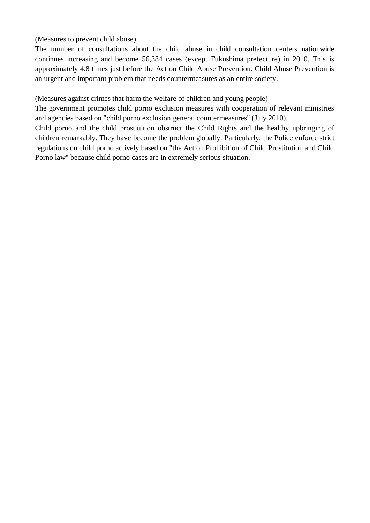(Measures to prevent child abuse)

The number of consultations about the child abuse in child consultation centers nationwide continues increasing and become 56,384 cases (except Fukushima prefecture) in 2010. This is approximately 4.8 times just before the Act on Child Abuse Prevention. Child Abuse Prevention is an urgent and important problem that needs countermeasures as an entire society.

(Measures against crimes that harm the welfare of children and young people)

The government promotes child porno exclusion measures with cooperation of relevant ministries and agencies based on "child porno exclusion general countermeasures" (July 2010).

Child porno and the child prostitution obstruct the Child Rights and the healthy upbringing of children remarkably. They have become the problem globally. Particularly, the Police enforce strict regulations on child porno actively based on "the Act on Prohibition of Child Prostitution and Child Porno law" because child porno cases are in extremely serious situation.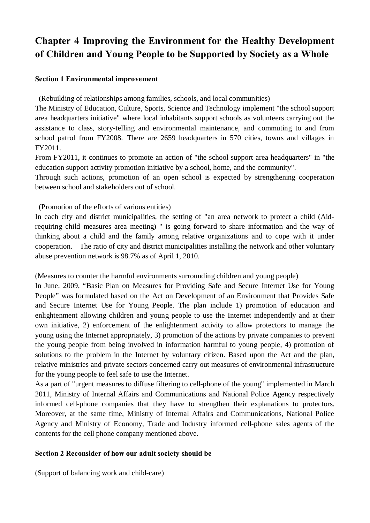# **Chapter 4 Improving the Environment for the Healthy Development of Children and Young People to be Supported by Society as a Whole**

#### **Section 1 Environmental improvement**

(Rebuilding of relationships among families, schools, and local communities)

The Ministry of Education, Culture, Sports, Science and Technology implement "the school support area headquarters initiative" where local inhabitants support schools as volunteers carrying out the assistance to class, story-telling and environmental maintenance, and commuting to and from school patrol from FY2008. There are 2659 headquarters in 570 cities, towns and villages in FY2011.

From FY2011, it continues to promote an action of "the school support area headquarters" in "the education support activity promotion initiative by a school, home, and the community".

Through such actions, promotion of an open school is expected by strengthening cooperation between school and stakeholders out of school.

(Promotion of the efforts of various entities)

In each city and district municipalities, the setting of "an area network to protect a child (Aidrequiring child measures area meeting) " is going forward to share information and the way of thinking about a child and the family among relative organizations and to cope with it under cooperation. The ratio of city and district municipalities installing the network and other voluntary abuse prevention network is 98.7% as of April 1, 2010.

(Measures to counter the harmful environments surrounding children and young people)

In June, 2009, "Basic Plan on Measures for Providing Safe and Secure Internet Use for Young People" was formulated based on the Act on Development of an Environment that Provides Safe and Secure Internet Use for Young People. The plan include 1) promotion of education and enlightenment allowing children and young people to use the Internet independently and at their own initiative, 2) enforcement of the enlightenment activity to allow protectors to manage the young using the Internet appropriately, 3) promotion of the actions by private companies to prevent the young people from being involved in information harmful to young people, 4) promotion of solutions to the problem in the Internet by voluntary citizen. Based upon the Act and the plan, relative ministries and private sectors concerned carry out measures of environmental infrastructure for the young people to feel safe to use the Internet.

As a part of "urgent measures to diffuse filtering to cell-phone of the young" implemented in March 2011, Ministry of Internal Affairs and Communications and National Police Agency respectively informed cell-phone companies that they have to strengthen their explanations to protectors. Moreover, at the same time, Ministry of Internal Affairs and Communications, National Police Agency and Ministry of Economy, Trade and Industry informed cell-phone sales agents of the contents for the cell phone company mentioned above.

#### **Section 2 Reconsider of how our adult society should be**

(Support of balancing work and child-care)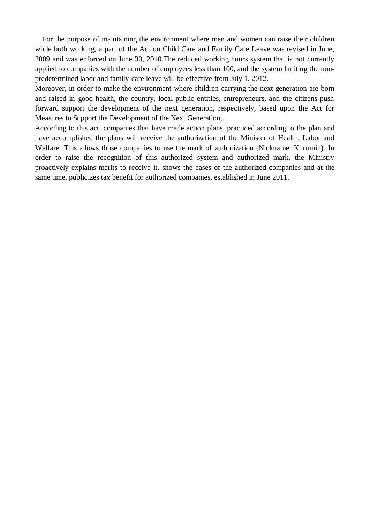For the purpose of maintaining the environment where men and women can raise their children while both working, a part of the Act on Child Care and Family Care Leave was revised in June, 2009 and was enforced on June 30, 2010.The reduced working hours system that is not currently applied to companies with the number of employees less than 100, and the system limiting the nonpredetermined labor and family-care leave will be effective from July 1, 2012.

Moreover, in order to make the environment where children carrying the next generation are born and raised in good health, the country, local public entities, entrepreneurs, and the citizens push forward support the development of the next generation, respectively, based upon the Act for Measures to Support the Development of the Next Generation,.

According to this act, companies that have made action plans, practiced according to the plan and have accomplished the plans will receive the authorization of the Minister of Health, Labor and Welfare. This allows those companies to use the mark of authorization (Nickname: Kurumin). In order to raise the recognition of this authorized system and authorized mark, the Ministry proactively explains merits to receive it, shows the cases of the authorized companies and at the same time, publicizes tax benefit for authorized companies, established in June 2011.